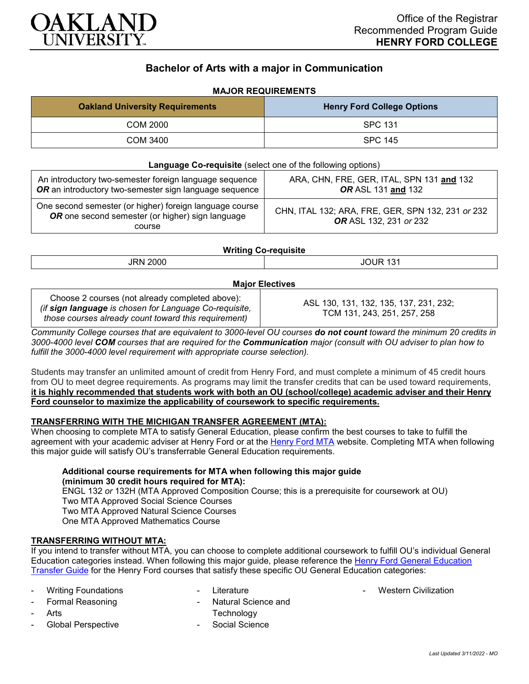

# **Bachelor of Arts with a major in Communication**

## **MAJOR REQUIREMENTS**

| <b>Oakland University Requirements</b> | <b>Henry Ford College Options</b> |
|----------------------------------------|-----------------------------------|
| COM 2000                               | <b>SPC 131</b>                    |
| COM 3400                               | SPC 145                           |

| <b>Language Co-requisite</b> (select one of the following options)                                                    |                                                                             |  |
|-----------------------------------------------------------------------------------------------------------------------|-----------------------------------------------------------------------------|--|
| An introductory two-semester foreign language sequence<br>OR an introductory two-semester sign language sequence      | ARA, CHN, FRE, GER, ITAL, SPN 131 and 132<br>OR ASL 131 and 132             |  |
| One second semester (or higher) foreign language course<br>OR one second semester (or higher) sign language<br>course | CHN, ITAL 132; ARA, FRE, GER, SPN 132, 231 or 232<br>OR ASL 132, 231 or 232 |  |

## **Writing Co-requisite**

| <b>JRN 2000</b>        | Ш<br>$\sqrt{2}$<br>w |  |
|------------------------|----------------------|--|
| <b>Maior Electives</b> |                      |  |

| Choose 2 courses (not already completed above):        | ASL 130, 131, 132, 135, 137, 231, 232; |
|--------------------------------------------------------|----------------------------------------|
| (if sign language is chosen for Language Co-requisite, | TCM 131, 243, 251, 257, 258            |
| those courses already count toward this requirement)   |                                        |

*Community College courses that are equivalent to 3000-level OU courses do not count toward the minimum 20 credits in 3000-4000 level COM courses that are required for the Communication major (consult with OU adviser to plan how to fulfill the 3000-4000 level requirement with appropriate course selection).*

Students may transfer an unlimited amount of credit from Henry Ford, and must complete a minimum of 45 credit hours from OU to meet degree requirements. As programs may limit the transfer credits that can be used toward requirements, **it is highly recommended that students work with both an OU (school/college) academic adviser and their Henry Ford counselor to maximize the applicability of coursework to specific requirements.**

#### **TRANSFERRING WITH THE MICHIGAN TRANSFER AGREEMENT (MTA):**

When choosing to complete MTA to satisfy General Education, please confirm the best courses to take to fulfill the agreement with your academic adviser at Henry Ford or at the [Henry Ford MTA](https://catalog.hfcc.edu/degrees/gen-ed) website. Completing MTA when following this major guide will satisfy OU's transferrable General Education requirements.

## **Additional course requirements for MTA when following this major guide (minimum 30 credit hours required for MTA):**

ENGL 132 *or* 132H (MTA Approved Composition Course; this is a prerequisite for coursework at OU) Two MTA Approved Social Science Courses Two MTA Approved Natural Science Courses One MTA Approved Mathematics Course

#### **TRANSFERRING WITHOUT MTA:**

If you intend to transfer without MTA, you can choose to complete additional coursework to fulfill OU's individual General Education categories instead. When following this major guide, please reference the [Henry Ford General Education](https://www.oakland.edu/Assets/Oakland/program-guides/henry-ford-college/university-general-education-requirements/Henry%20Ford%20Gen%20Ed.pdf)  [Transfer Guide](https://www.oakland.edu/Assets/Oakland/program-guides/henry-ford-college/university-general-education-requirements/Henry%20Ford%20Gen%20Ed.pdf) for the Henry Ford courses that satisfy these specific OU General Education categories:

- **Writing Foundations**
- Formal Reasoning
- **Arts**
- Global Perspective
- **Literature**
- Natural Science and **Technology**
- Social Science

**Western Civilization**